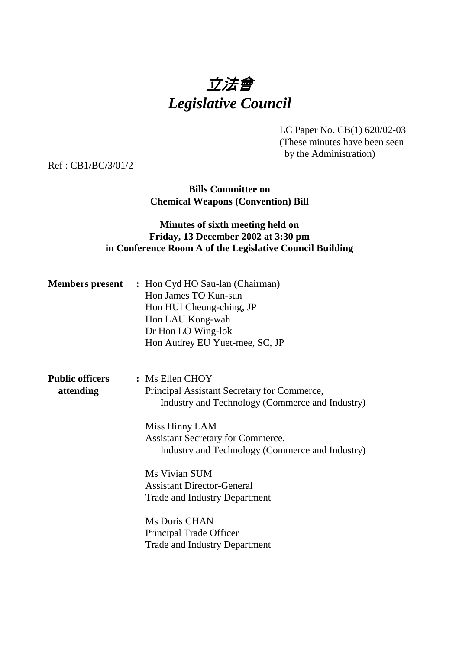# 立法會 *Legislative Council*

LC Paper No. CB(1) 620/02-03 (These minutes have been seen by the Administration)

Ref : CB1/BC/3/01/2

**Bills Committee on Chemical Weapons (Convention) Bill**

## **Minutes of sixth meeting held on Friday, 13 December 2002 at 3:30 pm in Conference Room A of the Legislative Council Building**

|                                     | <b>Members present</b> : Hon Cyd HO Sau-lan (Chairman)<br>Hon James TO Kun-sun<br>Hon HUI Cheung-ching, JP<br>Hon LAU Kong-wah<br>Dr Hon LO Wing-lok<br>Hon Audrey EU Yuet-mee, SC, JP                                             |
|-------------------------------------|------------------------------------------------------------------------------------------------------------------------------------------------------------------------------------------------------------------------------------|
| <b>Public officers</b><br>attending | : Ms Ellen CHOY<br>Principal Assistant Secretary for Commerce,<br>Industry and Technology (Commerce and Industry)<br>Miss Hinny LAM<br><b>Assistant Secretary for Commerce,</b><br>Industry and Technology (Commerce and Industry) |
|                                     | Ms Vivian SUM<br><b>Assistant Director-General</b><br><b>Trade and Industry Department</b><br>Ms Doris CHAN<br>Principal Trade Officer<br><b>Trade and Industry Department</b>                                                     |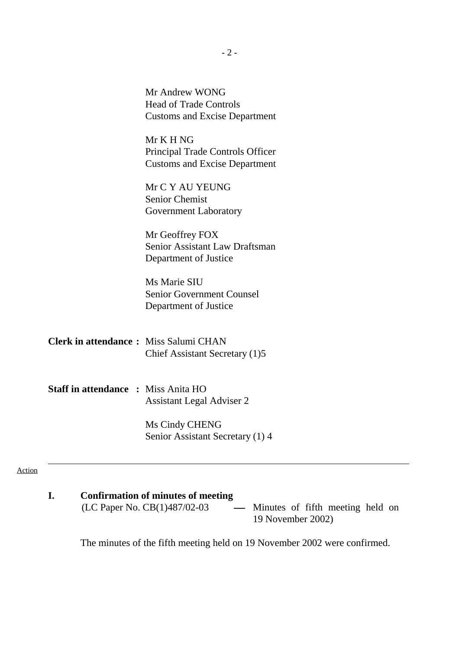|                                              | Mr Andrew WONG<br><b>Head of Trade Controls</b><br><b>Customs and Excise Department</b> |
|----------------------------------------------|-----------------------------------------------------------------------------------------|
|                                              | Mr K H NG<br>Principal Trade Controls Officer<br><b>Customs and Excise Department</b>   |
|                                              | Mr C Y AU YEUNG<br><b>Senior Chemist</b><br><b>Government Laboratory</b>                |
|                                              | Mr Geoffrey FOX<br>Senior Assistant Law Draftsman<br>Department of Justice              |
|                                              | Ms Marie SIU<br><b>Senior Government Counsel</b><br>Department of Justice               |
| <b>Clerk in attendance:</b> Miss Salumi CHAN | Chief Assistant Secretary (1)5                                                          |
| <b>Staff in attendance : Miss Anita HO</b>   | <b>Assistant Legal Adviser 2</b>                                                        |
|                                              | Ms Cindy CHENG<br>Senior Assistant Secretary (1) 4                                      |

#### Action

**I.** Confirmation of minutes of meeting<br>(LC Paper No. CB(1)487/02-03 Minutes of fifth meeting held on 19 November 2002)

The minutes of the fifth meeting held on 19 November 2002 were confirmed.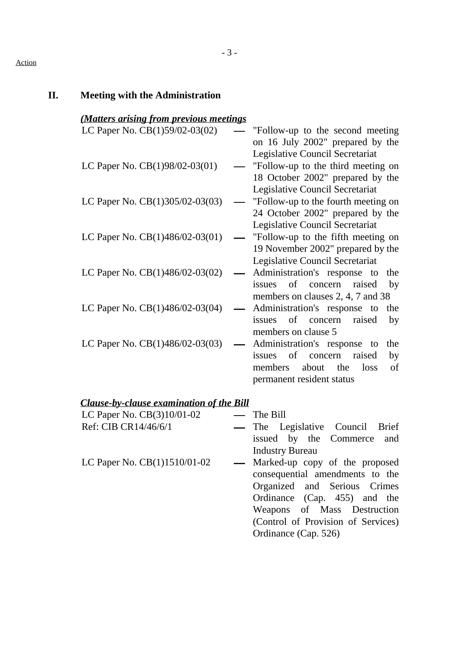#### Action

### **II. Meeting with the Administration**

|  |  | (Matters arising from previous meetings |
|--|--|-----------------------------------------|
|  |  |                                         |

| LC Paper No. CB(1)59/02-03(02)                  | "Follow-up to the second meeting"<br>on 16 July 2002" prepared by the |
|-------------------------------------------------|-----------------------------------------------------------------------|
|                                                 | Legislative Council Secretariat                                       |
| LC Paper No. CB(1)98/02-03(01)                  | "Follow-up to the third meeting on                                    |
|                                                 | 18 October 2002" prepared by the                                      |
|                                                 | Legislative Council Secretariat                                       |
| LC Paper No. CB(1)305/02-03(03)                 | "Follow-up to the fourth meeting on                                   |
|                                                 | 24 October 2002" prepared by the                                      |
|                                                 | Legislative Council Secretariat                                       |
| LC Paper No. CB(1)486/02-03(01)                 | "Follow-up to the fifth meeting on                                    |
|                                                 | 19 November 2002" prepared by the<br>Legislative Council Secretariat  |
| LC Paper No. CB(1)486/02-03(02)                 | Administration's response to<br>the                                   |
|                                                 | of concern<br>raised<br>issues<br>by                                  |
|                                                 | members on clauses 2, 4, 7 and 38                                     |
| LC Paper No. CB(1)486/02-03(04)                 | Administration's response to<br>the                                   |
|                                                 | issues of concern<br>raised<br>by                                     |
|                                                 | members on clause 5                                                   |
| LC Paper No. CB(1)486/02-03(03)                 | Administration's response to<br>the                                   |
|                                                 | issues of<br>raised<br>concern<br>by                                  |
|                                                 | the<br>loss<br>of<br>members<br>about                                 |
|                                                 | permanent resident status                                             |
| <b>Clause-by-clause examination of the Bill</b> |                                                                       |
|                                                 |                                                                       |

LC Paper No. CB(3)10/01-02 The Bill

- The Legislative Council Brief issued by the Commerce and Industry Bureau
- LC Paper No.  $CB(1)1510/01-02$  Marked-up copy of the proposed consequential amendments to the Organized and Serious Crimes Ordinance (Cap. 455) and the Weapons of Mass Destruction (Control of Provision of Services) Ordinance (Cap. 526)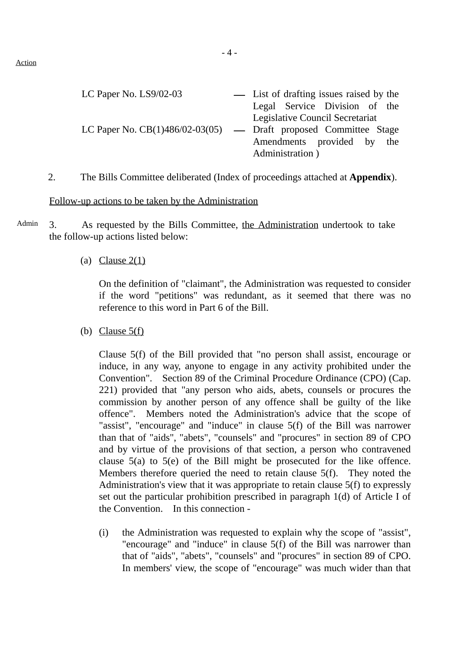| - List of drafting issues raised by the                            |  |  |
|--------------------------------------------------------------------|--|--|
| Legal Service Division of the                                      |  |  |
| Legislative Council Secretariat                                    |  |  |
| LC Paper No. $CB(1)486/02-03(05)$ — Draft proposed Committee Stage |  |  |
| Amendments provided by the                                         |  |  |
| Administration)                                                    |  |  |
|                                                                    |  |  |

2. The Bills Committee deliberated (Index of proceedings attached at **Appendix**).

#### Follow-up actions to be taken by the Administration

Admin 3. As requested by the Bills Committee, the Administration undertook to take the follow-up actions listed below:

#### (a) Clause  $2(1)$

On the definition of "claimant", the Administration was requested to consider if the word "petitions" was redundant, as it seemed that there was no reference to this word in Part 6 of the Bill.

(b) Clause  $5(f)$ 

Clause 5(f) of the Bill provided that "no person shall assist, encourage or induce, in any way, anyone to engage in any activity prohibited under the Convention". Section 89 of the Criminal Procedure Ordinance (CPO) (Cap. 221) provided that "any person who aids, abets, counsels or procures the commission by another person of any offence shall be guilty of the like offence". Members noted the Administration's advice that the scope of "assist", "encourage" and "induce" in clause 5(f) of the Bill was narrower than that of "aids", "abets", "counsels" and "procures" in section 89 of CPO and by virtue of the provisions of that section, a person who contravened clause  $5(a)$  to  $5(e)$  of the Bill might be prosecuted for the like offence. Members therefore queried the need to retain clause 5(f). They noted the Administration's view that it was appropriate to retain clause 5(f) to expressly set out the particular prohibition prescribed in paragraph 1(d) of Article I of the Convention. In this connection -

(i) the Administration was requested to explain why the scope of "assist", "encourage" and "induce" in clause 5(f) of the Bill was narrower than that of "aids", "abets", "counsels" and "procures" in section 89 of CPO. In members' view, the scope of "encourage" was much wider than that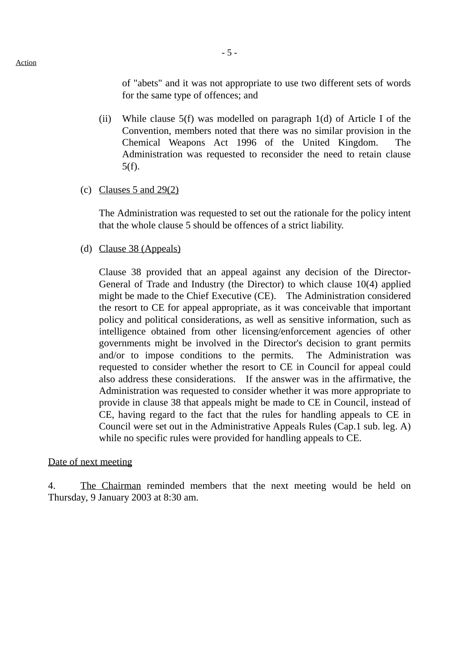of "abets" and it was not appropriate to use two different sets of words for the same type of offences; and

- (ii) While clause 5(f) was modelled on paragraph 1(d) of Article I of the Convention, members noted that there was no similar provision in the Chemical Weapons Act 1996 of the United Kingdom. The Administration was requested to reconsider the need to retain clause 5(f).
- (c) Clauses 5 and  $29(2)$

The Administration was requested to set out the rationale for the policy intent that the whole clause 5 should be offences of a strict liability.

(d) Clause 38 (Appeals)

Clause 38 provided that an appeal against any decision of the Director-General of Trade and Industry (the Director) to which clause 10(4) applied might be made to the Chief Executive (CE). The Administration considered the resort to CE for appeal appropriate, as it was conceivable that important policy and political considerations, as well as sensitive information, such as intelligence obtained from other licensing/enforcement agencies of other governments might be involved in the Director's decision to grant permits and/or to impose conditions to the permits. The Administration was requested to consider whether the resort to CE in Council for appeal could also address these considerations. If the answer was in the affirmative, the Administration was requested to consider whether it was more appropriate to provide in clause 38 that appeals might be made to CE in Council, instead of CE, having regard to the fact that the rules for handling appeals to CE in Council were set out in the Administrative Appeals Rules (Cap.1 sub. leg. A) while no specific rules were provided for handling appeals to CE.

#### Date of next meeting

4. The Chairman reminded members that the next meeting would be held on Thursday, 9 January 2003 at 8:30 am.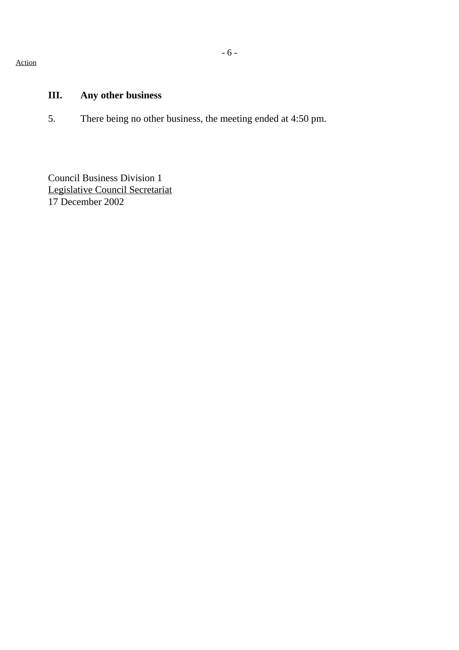Action

# **III. Any other business**

5. There being no other business, the meeting ended at 4:50 pm.

Council Business Division 1 Legislative Council Secretariat 17 December 2002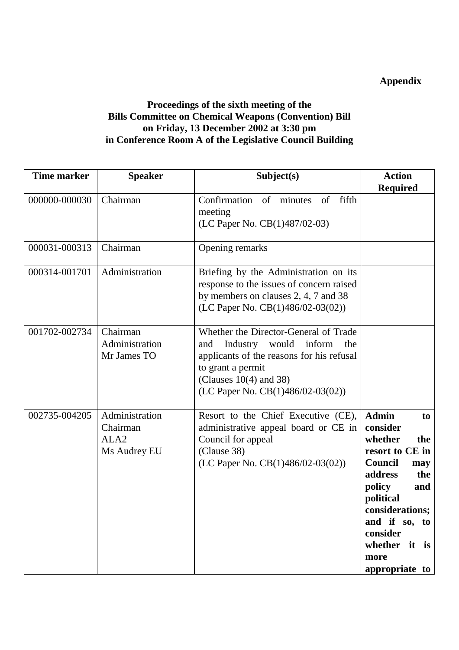## **Appendix**

## **Proceedings of the sixth meeting of the Bills Committee on Chemical Weapons (Convention) Bill on Friday, 13 December 2002 at 3:30 pm in Conference Room A of the Legislative Council Building**

| <b>Time marker</b> | <b>Speaker</b>                                                 | Subject(s)                                                                                                                                                                                                        | <b>Action</b><br><b>Required</b>                                                                                                                                                                                                        |
|--------------------|----------------------------------------------------------------|-------------------------------------------------------------------------------------------------------------------------------------------------------------------------------------------------------------------|-----------------------------------------------------------------------------------------------------------------------------------------------------------------------------------------------------------------------------------------|
| 000000-000030      | Chairman                                                       | Confirmation of minutes of fifth<br>meeting<br>(LC Paper No. CB(1)487/02-03)                                                                                                                                      |                                                                                                                                                                                                                                         |
| 000031-000313      | Chairman                                                       | Opening remarks                                                                                                                                                                                                   |                                                                                                                                                                                                                                         |
| 000314-001701      | Administration                                                 | Briefing by the Administration on its<br>response to the issues of concern raised<br>by members on clauses 2, 4, 7 and 38<br>(LC Paper No. $CB(1)486/02-03(02))$                                                  |                                                                                                                                                                                                                                         |
| 001702-002734      | Chairman<br>Administration<br>Mr James TO                      | Whether the Director-General of Trade<br>Industry would inform<br>and<br>the<br>applicants of the reasons for his refusal<br>to grant a permit<br>(Clauses $10(4)$ and 38)<br>(LC Paper No. $CB(1)486/02-03(02))$ |                                                                                                                                                                                                                                         |
| 002735-004205      | Administration<br>Chairman<br>ALA <sub>2</sub><br>Ms Audrey EU | Resort to the Chief Executive (CE),<br>administrative appeal board or CE in<br>Council for appeal<br>(Clause 38)<br>(LC Paper No. $CB(1)486/02-03(02))$                                                           | <b>Admin</b><br>to<br>consider<br>whether<br>the<br>resort to CE in<br><b>Council</b><br>may<br>address<br>the<br>policy<br>and<br>political<br>considerations;<br>and if so, to<br>consider<br>whether it is<br>more<br>appropriate to |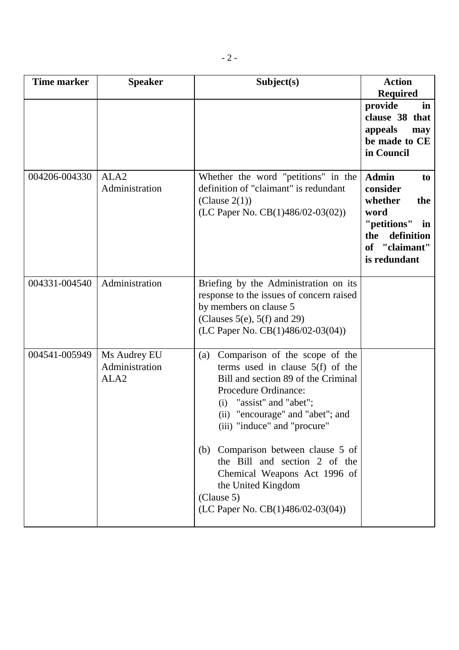| <b>Time marker</b> | <b>Speaker</b>                                     | Subject(s)                                                                                                                                                                                                                                                                                                                                                                                                                    | <b>Action</b><br><b>Required</b>                                                                                                 |
|--------------------|----------------------------------------------------|-------------------------------------------------------------------------------------------------------------------------------------------------------------------------------------------------------------------------------------------------------------------------------------------------------------------------------------------------------------------------------------------------------------------------------|----------------------------------------------------------------------------------------------------------------------------------|
|                    |                                                    |                                                                                                                                                                                                                                                                                                                                                                                                                               | provide<br>in<br>clause 38 that<br>appeals<br>may<br>be made to CE<br>in Council                                                 |
| 004206-004330      | ALA <sub>2</sub><br>Administration                 | Whether the word "petitions" in the<br>definition of "claimant" is redundant<br>(Clause $2(1)$ )<br>(LC Paper No. $CB(1)486/02-03(02))$                                                                                                                                                                                                                                                                                       | <b>Admin</b><br>to<br>consider<br>whether<br>the<br>word<br>"petitions" in<br>definition<br>the<br>of "claimant"<br>is redundant |
| 004331-004540      | Administration                                     | Briefing by the Administration on its<br>response to the issues of concern raised<br>by members on clause 5<br>(Clauses 5(e), 5(f) and 29)<br>(LC Paper No. $CB(1)486/02-03(04)$ )                                                                                                                                                                                                                                            |                                                                                                                                  |
| 004541-005949      | Ms Audrey EU<br>Administration<br>ALA <sub>2</sub> | Comparison of the scope of the<br>(a)<br>terms used in clause $5(f)$ of the<br>Bill and section 89 of the Criminal<br>Procedure Ordinance:<br>"assist" and "abet";<br>(i)<br>(ii) "encourage" and "abet"; and<br>(iii) "induce" and "procure"<br>(b) Comparison between clause 5 of<br>the Bill and section 2 of the<br>Chemical Weapons Act 1996 of<br>the United Kingdom<br>(Clause 5)<br>(LC Paper No. CB(1)486/02-03(04)) |                                                                                                                                  |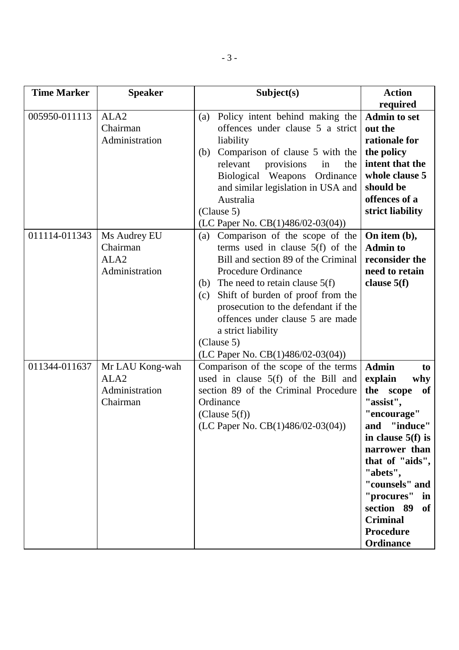| <b>Time Marker</b> | <b>Speaker</b>                                                    | Subject(s)                                                                                                                                                                                                                                                                                                                                                                                 | <b>Action</b>                                                                                                                                                                                                                                                                                      |
|--------------------|-------------------------------------------------------------------|--------------------------------------------------------------------------------------------------------------------------------------------------------------------------------------------------------------------------------------------------------------------------------------------------------------------------------------------------------------------------------------------|----------------------------------------------------------------------------------------------------------------------------------------------------------------------------------------------------------------------------------------------------------------------------------------------------|
| 005950-011113      | ALA <sub>2</sub><br>Chairman<br>Administration                    | Policy intent behind making the<br>(a)<br>offences under clause 5 a strict<br>liability<br>Comparison of clause 5 with the<br>(b)<br>relevant<br>provisions<br>the<br>in<br>Biological Weapons<br>Ordinance<br>and similar legislation in USA and<br>Australia<br>(Clause 5)<br>(LC Paper No. CB(1)486/02-03(04))                                                                          | required<br><b>Admin to set</b><br>out the<br>rationale for<br>the policy<br>intent that the<br>whole clause 5<br>should be<br>offences of a<br>strict liability                                                                                                                                   |
| 011114-011343      | Ms Audrey EU<br>Chairman<br>ALA <sub>2</sub><br>Administration    | Comparison of the scope of the<br>(a)<br>terms used in clause $5(f)$ of the<br>Bill and section 89 of the Criminal<br><b>Procedure Ordinance</b><br>(b) The need to retain clause $5(f)$<br>Shift of burden of proof from the<br>(c)<br>prosecution to the defendant if the<br>offences under clause 5 are made<br>a strict liability<br>(Clause 5)<br>(LC Paper No. $CB(1)486/02-03(04))$ | On item $(b)$ ,<br><b>Admin to</b><br>reconsider the<br>need to retain<br>clause $5(f)$                                                                                                                                                                                                            |
| 011344-011637      | Mr LAU Kong-wah<br>ALA <sub>2</sub><br>Administration<br>Chairman | Comparison of the scope of the terms<br>used in clause 5(f) of the Bill and<br>section 89 of the Criminal Procedure<br>Ordinance<br>(Clause $5(f)$ )<br>(LC Paper No. CB(1)486/02-03(04))                                                                                                                                                                                                  | <b>Admin</b><br>to<br>explain<br>why<br>the<br>of<br>scope<br>"assist",<br>"encourage"<br>"induce"<br>and<br>in clause $5(f)$ is<br>narrower than<br>that of "aids",<br>"abets",<br>"counsels" and<br>"procures" in<br>section 89<br><b>of</b><br><b>Criminal</b><br><b>Procedure</b><br>Ordinance |